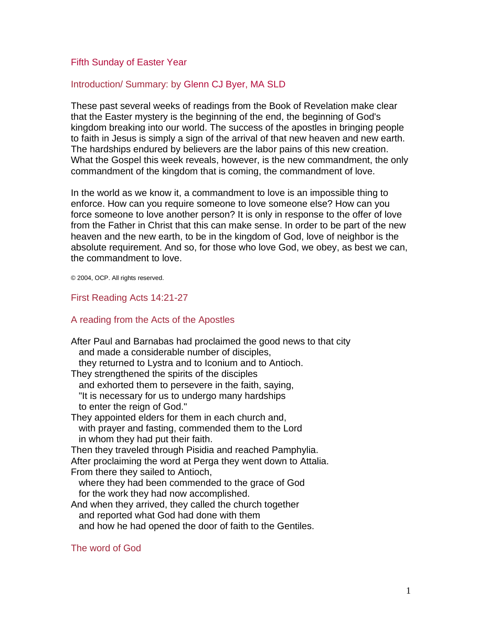#### Fifth Sunday of Easter Year

#### Introduction/ Summary: by [Glenn CJ Byer, MA SLD](http://www.liturgy.com/home/authors.php?authorID=61991)

These past several weeks of readings from the Book of Revelation make clear that the Easter mystery is the beginning of the end, the beginning of God's kingdom breaking into our world. The success of the apostles in bringing people to faith in Jesus is simply a sign of the arrival of that new heaven and new earth. The hardships endured by believers are the labor pains of this new creation. What the Gospel this week reveals, however, is the new commandment, the only commandment of the kingdom that is coming, the commandment of love.

In the world as we know it, a commandment to love is an impossible thing to enforce. How can you require someone to love someone else? How can you force someone to love another person? It is only in response to the offer of love from the Father in Christ that this can make sense. In order to be part of the new heaven and the new earth, to be in the kingdom of God, love of neighbor is the absolute requirement. And so, for those who love God, we obey, as best we can, the commandment to love.

© 2004, OCP. All rights reserved.

#### First Reading Acts 14:21-27

#### A reading from the Acts of the Apostles

After Paul and Barnabas had proclaimed the good news to that city and made a considerable number of disciples, they returned to Lystra and to Iconium and to Antioch. They strengthened the spirits of the disciples and exhorted them to persevere in the faith, saying, "It is necessary for us to undergo many hardships to enter the reign of God." They appointed elders for them in each church and, with prayer and fasting, commended them to the Lord in whom they had put their faith. Then they traveled through Pisidia and reached Pamphylia. After proclaiming the word at Perga they went down to Attalia. From there they sailed to Antioch, where they had been commended to the grace of God for the work they had now accomplished. And when they arrived, they called the church together and reported what God had done with them and how he had opened the door of faith to the Gentiles. The word of God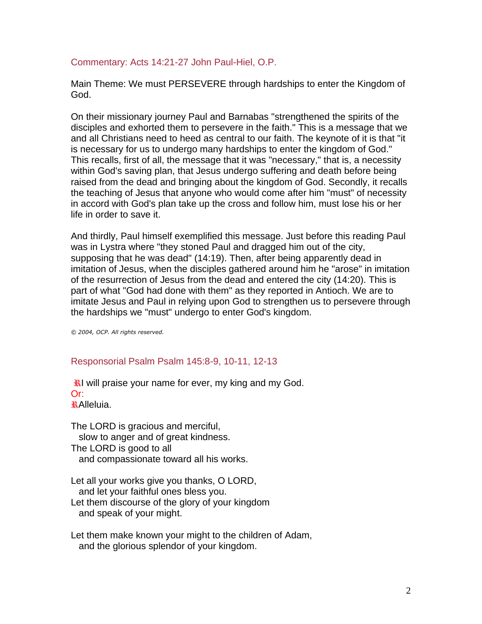### Commentary: Acts 14:21-27 John Paul-Hiel, O.P.

Main Theme: We must PERSEVERE through hardships to enter the Kingdom of God.

On their missionary journey Paul and Barnabas "strengthened the spirits of the disciples and exhorted them to persevere in the faith." This is a message that we and all Christians need to heed as central to our faith. The keynote of it is that "it is necessary for us to undergo many hardships to enter the kingdom of God." This recalls, first of all, the message that it was "necessary," that is, a necessity within God's saving plan, that Jesus undergo suffering and death before being raised from the dead and bringing about the kingdom of God. Secondly, it recalls the teaching of Jesus that anyone who would come after him "must" of necessity in accord with God's plan take up the cross and follow him, must lose his or her life in order to save it.

And thirdly, Paul himself exemplified this message. Just before this reading Paul was in Lystra where "they stoned Paul and dragged him out of the city, supposing that he was dead" (14:19). Then, after being apparently dead in imitation of Jesus, when the disciples gathered around him he "arose" in imitation of the resurrection of Jesus from the dead and entered the city (14:20). This is part of what "God had done with them" as they reported in Antioch. We are to imitate Jesus and Paul in relying upon God to strengthen us to persevere through the hardships we "must" undergo to enter God's kingdom.

*© 2004, OCP. All rights reserved.*

# Responsorial Psalm Psalm 145:8-9, 10-11, 12-13

 $\mathbf{\ddot{x}}$ l will praise your name for ever, my king and my God. Or: Alleluia.

The LORD is gracious and merciful, slow to anger and of great kindness. The LORD is good to all and compassionate toward all his works.

Let all your works give you thanks, O LORD, and let your faithful ones bless you. Let them discourse of the glory of your kingdom and speak of your might.

Let them make known your might to the children of Adam, and the glorious splendor of your kingdom.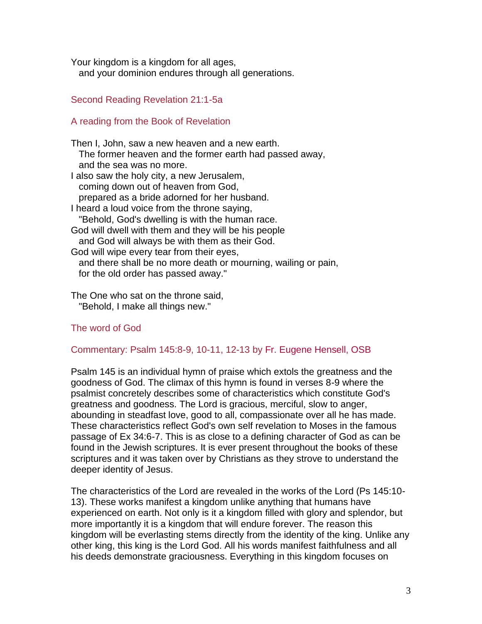Your kingdom is a kingdom for all ages, and your dominion endures through all generations.

# Second Reading Revelation 21:1-5a

### A reading from the Book of Revelation

Then I, John, saw a new heaven and a new earth. The former heaven and the former earth had passed away, and the sea was no more. I also saw the holy city, a new Jerusalem, coming down out of heaven from God, prepared as a bride adorned for her husband. I heard a loud voice from the throne saying, "Behold, God's dwelling is with the human race. God will dwell with them and they will be his people and God will always be with them as their God. God will wipe every tear from their eyes, and there shall be no more death or mourning, wailing or pain, for the old order has passed away."

The One who sat on the throne said, "Behold, I make all things new."

# The word of God

#### Commentary: Psalm 145:8-9, 10-11, 12-13 by [Fr. Eugene Hensell, OSB](http://www.liturgy.com/home/authors.php?authorID=17)

Psalm 145 is an individual hymn of praise which extols the greatness and the goodness of God. The climax of this hymn is found in verses 8-9 where the psalmist concretely describes some of characteristics which constitute God's greatness and goodness. The Lord is gracious, merciful, slow to anger, abounding in steadfast love, good to all, compassionate over all he has made. These characteristics reflect God's own self revelation to Moses in the famous passage of Ex 34:6-7. This is as close to a defining character of God as can be found in the Jewish scriptures. It is ever present throughout the books of these scriptures and it was taken over by Christians as they strove to understand the deeper identity of Jesus.

The characteristics of the Lord are revealed in the works of the Lord (Ps 145:10- 13). These works manifest a kingdom unlike anything that humans have experienced on earth. Not only is it a kingdom filled with glory and splendor, but more importantly it is a kingdom that will endure forever. The reason this kingdom will be everlasting stems directly from the identity of the king. Unlike any other king, this king is the Lord God. All his words manifest faithfulness and all his deeds demonstrate graciousness. Everything in this kingdom focuses on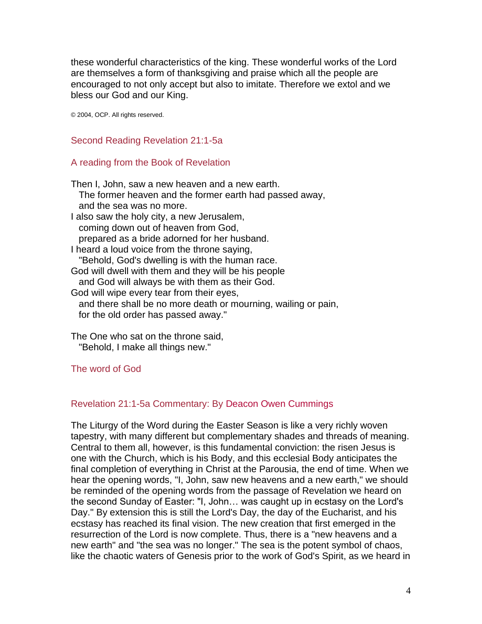these wonderful characteristics of the king. These wonderful works of the Lord are themselves a form of thanksgiving and praise which all the people are encouraged to not only accept but also to imitate. Therefore we extol and we bless our God and our King.

© 2004, OCP. All rights reserved.

Second Reading Revelation 21:1-5a

#### A reading from the Book of Revelation

Then I, John, saw a new heaven and a new earth. The former heaven and the former earth had passed away, and the sea was no more. I also saw the holy city, a new Jerusalem, coming down out of heaven from God, prepared as a bride adorned for her husband. I heard a loud voice from the throne saying, "Behold, God's dwelling is with the human race. God will dwell with them and they will be his people and God will always be with them as their God. God will wipe every tear from their eyes, and there shall be no more death or mourning, wailing or pain, for the old order has passed away."

The One who sat on the throne said, "Behold, I make all things new."

# The word of God

# Revelation 21:1-5a Commentary: By [Deacon Owen Cummings](http://www.liturgy.com/home/authors.php?authorID=3373)

The Liturgy of the Word during the Easter Season is like a very richly woven tapestry, with many different but complementary shades and threads of meaning. Central to them all, however, is this fundamental conviction: the risen Jesus is one with the Church, which is his Body, and this ecclesial Body anticipates the final completion of everything in Christ at the Parousia, the end of time. When we hear the opening words, "I, John, saw new heavens and a new earth," we should be reminded of the opening words from the passage of Revelation we heard on the second Sunday of Easter: "I, John… was caught up in ecstasy on the Lord's Day." By extension this is still the Lord's Day, the day of the Eucharist, and his ecstasy has reached its final vision. The new creation that first emerged in the resurrection of the Lord is now complete. Thus, there is a "new heavens and a new earth" and "the sea was no longer." The sea is the potent symbol of chaos, like the chaotic waters of Genesis prior to the work of God's Spirit, as we heard in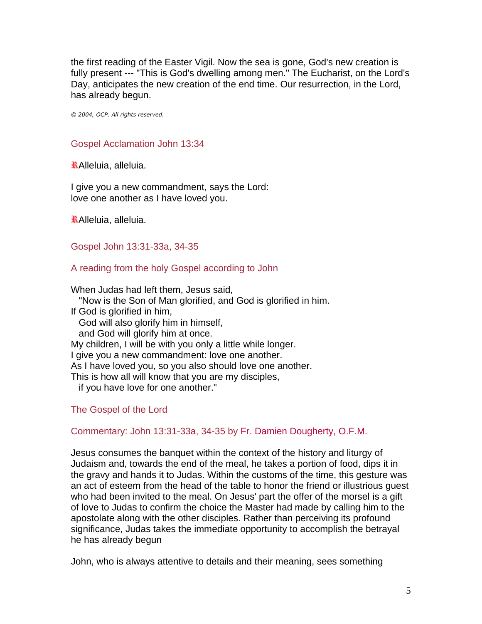the first reading of the Easter Vigil. Now the sea is gone, God's new creation is fully present --- "This is God's dwelling among men." The Eucharist, on the Lord's Day, anticipates the new creation of the end time. Our resurrection, in the Lord, has already begun.

*© 2004, OCP. All rights reserved.*

### Gospel Acclamation John 13:34

Alleluia, alleluia.

I give you a new commandment, says the Lord: love one another as I have loved you.

Alleluia, alleluia.

Gospel John 13:31-33a, 34-35

A reading from the holy Gospel according to John

When Judas had left them, Jesus said,

"Now is the Son of Man glorified, and God is glorified in him.

If God is glorified in him,

God will also glorify him in himself,

and God will glorify him at once.

My children, I will be with you only a little while longer.

I give you a new commandment: love one another.

As I have loved you, so you also should love one another.

This is how all will know that you are my disciples,

if you have love for one another."

# The Gospel of the Lord

# Commentary: John 13:31-33a, 34-35 by [Fr. Damien Dougherty, O.F.M.](http://www.liturgy.com/home/authors.php?authorID=10)

Jesus consumes the banquet within the context of the history and liturgy of Judaism and, towards the end of the meal, he takes a portion of food, dips it in the gravy and hands it to Judas. Within the customs of the time, this gesture was an act of esteem from the head of the table to honor the friend or illustrious guest who had been invited to the meal. On Jesus' part the offer of the morsel is a gift of love to Judas to confirm the choice the Master had made by calling him to the apostolate along with the other disciples. Rather than perceiving its profound significance, Judas takes the immediate opportunity to accomplish the betrayal he has already begun

John, who is always attentive to details and their meaning, sees something